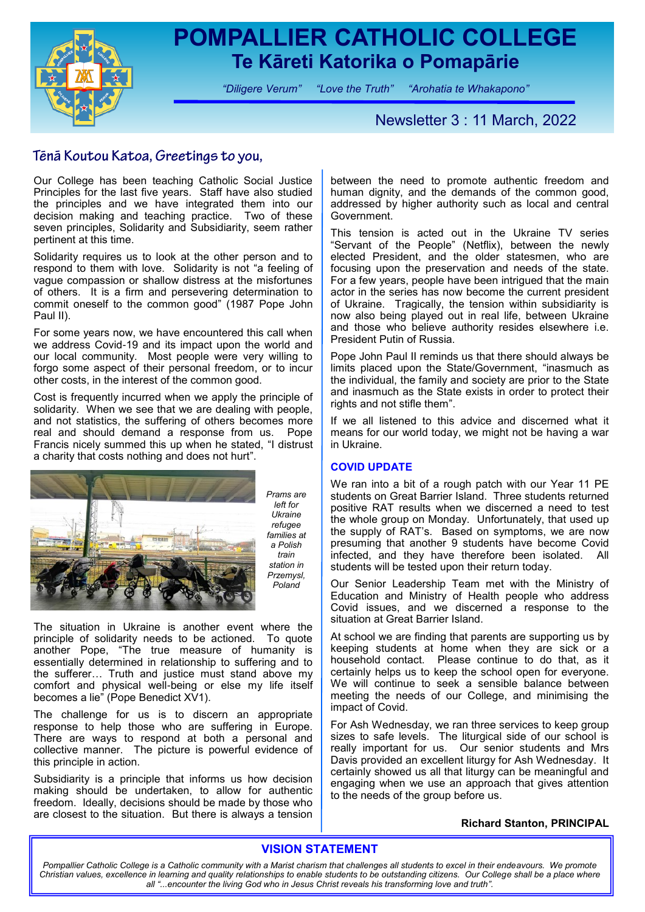

## **POMPALLIER CATHOLIC COLLEGE Te Kāreti Katorika o Pomapārie**

*"Diligere Verum" "Love the Truth" "Arohatia te Whakapono"*

## Newsletter 3 : 11 March, 2022

### Tēnā Koutou Katoa, Greetings to you,

Our College has been teaching Catholic Social Justice Principles for the last five years. Staff have also studied the principles and we have integrated them into our decision making and teaching practice. Two of these seven principles, Solidarity and Subsidiarity, seem rather pertinent at this time.

Solidarity requires us to look at the other person and to respond to them with love. Solidarity is not "a feeling of vague compassion or shallow distress at the misfortunes of others. It is a firm and persevering determination to commit oneself to the common good" (1987 Pope John Paul II).

For some years now, we have encountered this call when we address Covid-19 and its impact upon the world and our local community. Most people were very willing to forgo some aspect of their personal freedom, or to incur other costs, in the interest of the common good.

Cost is frequently incurred when we apply the principle of solidarity. When we see that we are dealing with people, and not statistics, the suffering of others becomes more real and should demand a response from us. Pope Francis nicely summed this up when he stated, "I distrust a charity that costs nothing and does not hurt".



*Prams are left for Ukraine refugee families at a Polish train station in Przemysl, Poland*

The situation in Ukraine is another event where the principle of solidarity needs to be actioned. To quote another Pope, "The true measure of humanity is essentially determined in relationship to suffering and to the sufferer… Truth and justice must stand above my comfort and physical well-being or else my life itself becomes a lie" (Pope Benedict  $XV1$ ).

The challenge for us is to discern an appropriate response to help those who are suffering in Europe. There are ways to respond at both a personal and collective manner. The picture is powerful evidence of this principle in action.

Subsidiarity is a principle that informs us how decision making should be undertaken, to allow for authentic freedom. Ideally, decisions should be made by those who are closest to the situation. But there is always a tension

between the need to promote authentic freedom and human dignity, and the demands of the common good, addressed by higher authority such as local and central Government.

This tension is acted out in the Ukraine TV series "Servant of the People" (Netflix), between the newly elected President, and the older statesmen, who are focusing upon the preservation and needs of the state. For a few years, people have been intrigued that the main actor in the series has now become the current president of Ukraine. Tragically, the tension within subsidiarity is now also being played out in real life, between Ukraine and those who believe authority resides elsewhere i.e. President Putin of Russia.

Pope John Paul II reminds us that there should always be limits placed upon the State/Government, "inasmuch as the individual, the family and society are prior to the State and inasmuch as the State exists in order to protect their rights and not stifle them".

If we all listened to this advice and discerned what it means for our world today, we might not be having a war in Ukraine.

#### **COVID UPDATE**

We ran into a bit of a rough patch with our Year 11 PE students on Great Barrier Island. Three students returned positive RAT results when we discerned a need to test the whole group on Monday. Unfortunately, that used up the supply of RAT's. Based on symptoms, we are now presuming that another 9 students have become Covid infected, and they have therefore been isolated. All students will be tested upon their return today.

Our Senior Leadership Team met with the Ministry of Education and Ministry of Health people who address Covid issues, and we discerned a response to the situation at Great Barrier Island.

At school we are finding that parents are supporting us by keeping students at home when they are sick or a household contact. Please continue to do that, as it certainly helps us to keep the school open for everyone. We will continue to seek a sensible balance between meeting the needs of our College, and minimising the impact of Covid.

For Ash Wednesday, we ran three services to keep group sizes to safe levels. The liturgical side of our school is really important for us. Our senior students and Mrs Davis provided an excellent liturgy for Ash Wednesday. It certainly showed us all that liturgy can be meaningful and engaging when we use an approach that gives attention to the needs of the group before us.

#### **Richard Stanton, PRINCIPAL**

#### **VISION STATEMENT**

*Pompallier Catholic College is a Catholic community with a Marist charism that challenges all students to excel in their endeavours. We promote*  Christian values, excellence in learning and quality relationships to enable students to be outstanding citizens. Our College shall be a place where *all "...encounter the living God who in Jesus Christ reveals his transforming love and truth".*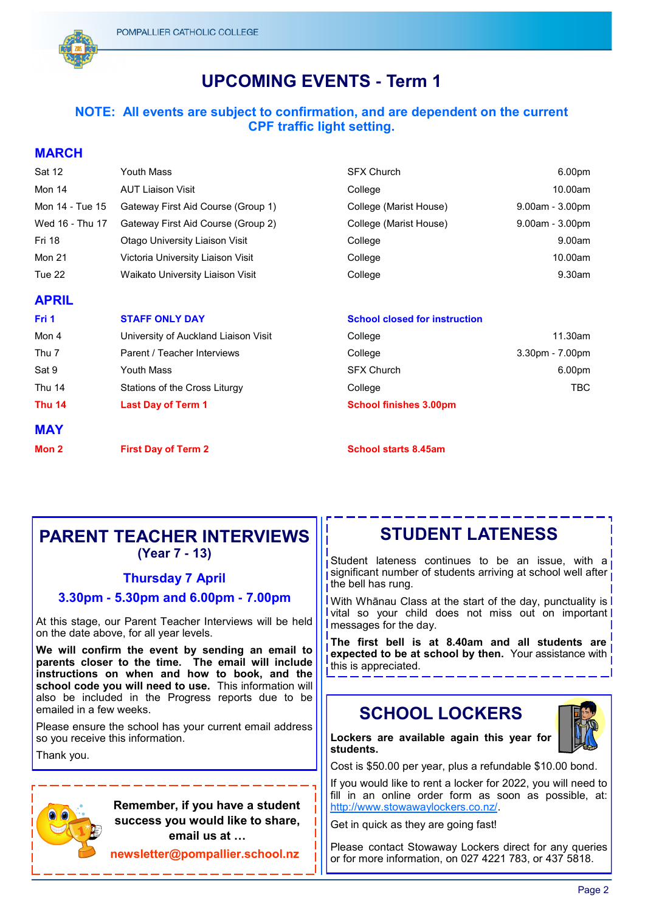

## **UPCOMING EVENTS - Term 1**

#### **NOTE: All events are subject to confirmation, and are dependent on the current CPF traffic light setting.**

#### **MARCH**

| Sat 12          | Youth Mass                         | <b>SFX Church</b>      | 6.00pm                |
|-----------------|------------------------------------|------------------------|-----------------------|
| Mon 14          | <b>AUT Liaison Visit</b>           | College                | 10.00am               |
| Mon 14 - Tue 15 | Gateway First Aid Course (Group 1) | College (Marist House) | $9.00$ am - $3.00$ pm |
| Wed 16 - Thu 17 | Gateway First Aid Course (Group 2) | College (Marist House) | $9.00$ am - $3.00$ pm |
| <b>Fri 18</b>   | Otago University Liaison Visit     | College                | 9.00am                |
| Mon 21          | Victoria University Liaison Visit  | College                | 10.00am               |
| Tue 22          | Waikato University Liaison Visit   | College                | 9.30am                |
| <b>APRIL</b>    |                                    |                        |                       |

| Fri 1         | <b>STAFF ONLY DAY</b>                | <b>School closed for instruction</b> |                   |
|---------------|--------------------------------------|--------------------------------------|-------------------|
| Mon 4         | University of Auckland Liaison Visit | College                              | 11.30am           |
| Thu 7         | Parent / Teacher Interviews          | College                              | $3.30pm - 7.00pm$ |
| Sat 9         | Youth Mass                           | <b>SFX Church</b>                    | 6.00pm            |
| Thu 14        | Stations of the Cross Liturgy        | College                              | TBC               |
| <b>Thu 14</b> | <b>Last Day of Term 1</b>            | <b>School finishes 3.00pm</b>        |                   |
| <b>MAY</b>    |                                      |                                      |                   |

# **PARENT TEACHER INTERVIEWS**

**(Year 7 - 13)**

**Mon 2 First Day of Term 2 School starts 8.45am**

#### **Thursday 7 April**

#### **3.30pm - 5.30pm and 6.00pm - 7.00pm**

At this stage, our Parent Teacher Interviews will be held on the date above, for all year levels.

**We will confirm the event by sending an email to parents closer to the time. The email will include instructions on when and how to book, and the**  school code you will need to use. This information will also be included in the Progress reports due to be emailed in a few weeks.

Please ensure the school has your current email address so you receive this information.

Thank you.

 **Remember, if you have a student success you would like to share, email us at …**

**newsletter@pompallier.school.nz**

Student lateness continues to be an issue, with a significant number of students arriving at school well after the bell has rung.

**STUDENT LATENESS**

With Whānau Class at the start of the day, punctuality is **Vital so your child does not miss out on important** messages for the day.

**The first bell is at 8.40am and all students are expected to be at school by then.** Your assistance with this is appreciated.

## **SCHOOL LOCKERS**



**Lockers are available again this year for students.**

Cost is \$50.00 per year, plus a refundable \$10.00 bond.

If you would like to rent a locker for 2022, you will need to fill in an online order form as soon as possible, at: [http://www.stowawaylockers.co.nz/.](http://www.stowawaylockers.co.nz/)

Get in quick as they are going fast!

Please contact Stowaway Lockers direct for any queries or for more information, on 027 4221 783, or 437 5818.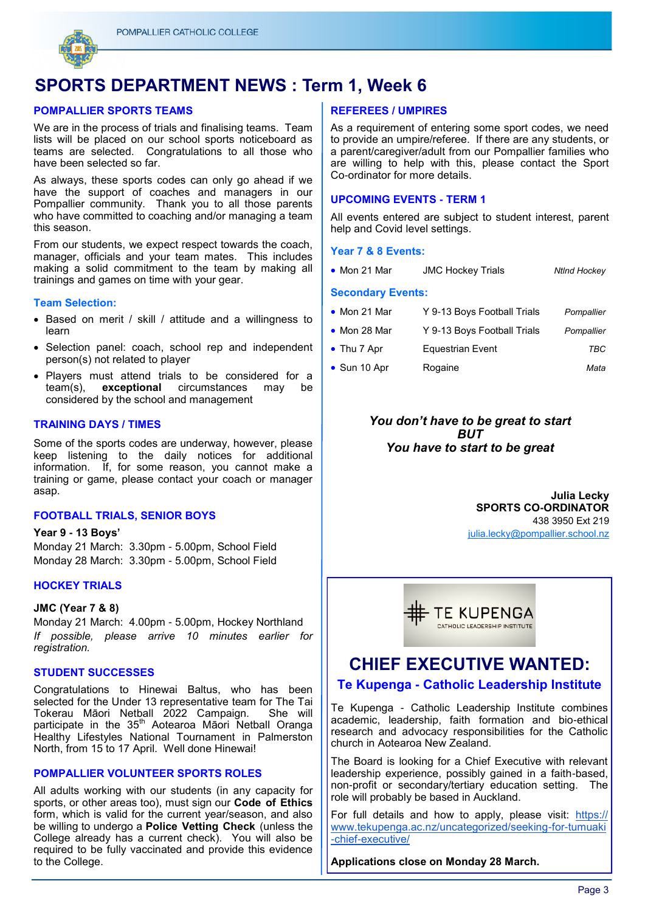

## **SPORTS DEPARTMENT NEWS : Term 1, Week 6**

#### **POMPALLIER SPORTS TEAMS**

We are in the process of trials and finalising teams. Team lists will be placed on our school sports noticeboard as teams are selected. Congratulations to all those who have been selected so far.

As always, these sports codes can only go ahead if we have the support of coaches and managers in our Pompallier community. Thank you to all those parents who have committed to coaching and/or managing a team this season.

From our students, we expect respect towards the coach, manager, officials and your team mates. This includes making a solid commitment to the team by making all trainings and games on time with your gear.

#### **Team Selection:**

- Based on merit / skill / attitude and a willingness to learn
- Selection panel: coach, school rep and independent person(s) not related to player
- Players must attend trials to be considered for a team(s), **exceptional** circumstances may be considered by the school and management

#### **TRAINING DAYS / TIMES**

Some of the sports codes are underway, however, please keep listening to the daily notices for additional information. If, for some reason, you cannot make a training or game, please contact your coach or manager asap.

#### **FOOTBALL TRIALS, SENIOR BOYS**

**Year 9 - 13 Boys'** Monday 21 March: 3.30pm - 5.00pm, School Field Monday 28 March: 3.30pm - 5.00pm, School Field

#### **HOCKEY TRIALS**

#### **JMC (Year 7 & 8)**

Monday 21 March: 4.00pm - 5.00pm, Hockey Northland *If possible, please arrive 10 minutes earlier for registration.*

#### **STUDENT SUCCESSES**

Congratulations to Hinewai Baltus, who has been selected for the Under 13 representative team for The Tai Tokerau Māori Netball 2022 Campaign. She will participate in the 35<sup>th</sup> Aotearoa Māori Netball Oranga Healthy Lifestyles National Tournament in Palmerston North, from 15 to 17 April. Well done Hinewai!

#### **POMPALLIER VOLUNTEER SPORTS ROLES**

All adults working with our students (in any capacity for sports, or other areas too), must sign our **Code of Ethics**  form, which is valid for the current year/season, and also be willing to undergo a **Police Vetting Check** (unless the College already has a current check). You will also be required to be fully vaccinated and provide this evidence to the College.

#### **REFEREES / UMPIRES**

As a requirement of entering some sport codes, we need to provide an umpire/referee. If there are any students, or a parent/caregiver/adult from our Pompallier families who are willing to help with this, please contact the Sport Co-ordinator for more details.

#### **UPCOMING EVENTS - TERM 1**

All events entered are subject to student interest, parent help and Covid level settings.

#### **Year 7 & 8 Events:**

• Mon 21 Mar JMC Hockey Trials *Ntlnd Hockey*

#### **Secondary Events:**

| $\bullet$ Mon 21 Mar | Y 9-13 Boys Football Trials | Pompallier |
|----------------------|-----------------------------|------------|
| • Mon 28 Mar         | Y 9-13 Boys Football Trials | Pompallier |
| • Thu 7 Apr          | <b>Equestrian Event</b>     | TBC        |
| • Sun 10 Apr         | Rogaine                     | Mata       |

#### *You don't have to be great to start BUT You have to start to be great*

**Julia Lecky SPORTS CO-ORDINATOR** 438 3950 Ext 219 [julia.lecky@pompallier.school.nz](mailto:chantelle.yorke@pompallier.school.nz)



## **CHIEF EXECUTIVE WANTED: Te Kupenga - Catholic Leadership Institute**

Te Kupenga - Catholic Leadership Institute combines

academic, leadership, faith formation and bio-ethical research and advocacy responsibilities for the Catholic church in Aotearoa New Zealand.

The Board is looking for a Chief Executive with relevant leadership experience, possibly gained in a faith-based, non-profit or secondary/tertiary education setting. The role will probably be based in Auckland.

For full details and how to apply, please visit: [https://](https://www.tekupenga.ac.nz/uncategorized/seeking-for-tumuaki-chief-executive/) [www.tekupenga.ac.nz/uncategorized/seeking-for-tumuaki](https://www.tekupenga.ac.nz/uncategorized/seeking-for-tumuaki-chief-executive/) [-chief-executive/](https://www.tekupenga.ac.nz/uncategorized/seeking-for-tumuaki-chief-executive/)

**Applications close on Monday 28 March.**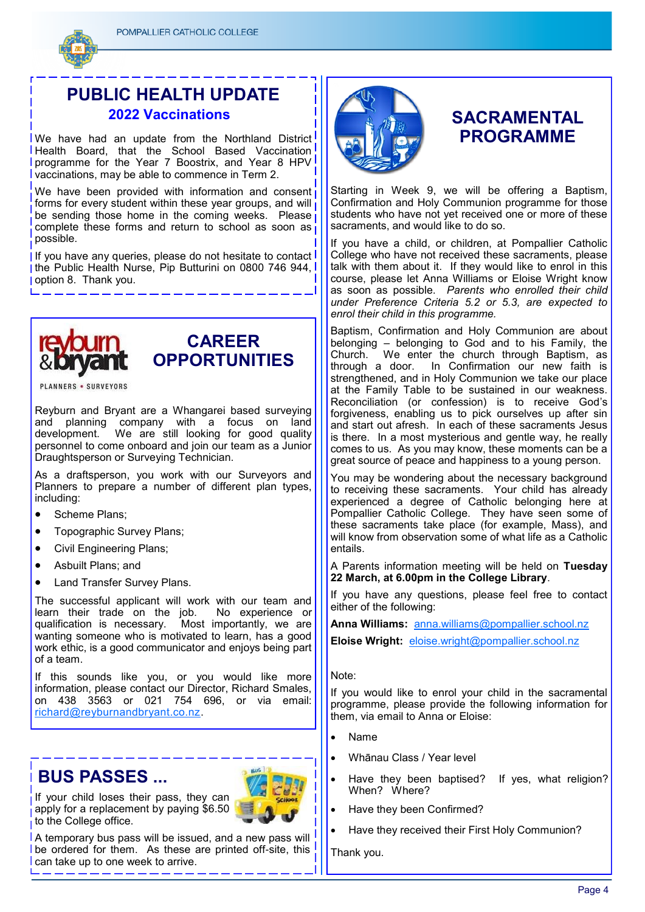

## **PUBLIC HEALTH UPDATE 2022 Vaccinations**

**IWe have had an update from the Northland District Health Board, that the School Based Vaccination programme for the Year 7 Boostrix, and Year 8 HPV** vaccinations, may be able to commence in Term 2.

We have been provided with information and consent forms for every student within these year groups, and will be sending those home in the coming weeks. Please complete these forms and return to school as soon as possible.

If you have any queries, please do not hesitate to contact I I the Public Health Nurse, Pip Butturini on 0800 746 944, option 8. Thank you.





**PLANNERS · SURVEYORS** 

Reyburn and Bryant are a Whangarei based surveying and planning company with a focus on land development. We are still looking for good quality personnel to come onboard and join our team as a Junior Draughtsperson or Surveying Technician.

As a draftsperson, you work with our Surveyors and Planners to prepare a number of different plan types, including:

- Scheme Plans;
- Topographic Survey Plans;
- Civil Engineering Plans;
- Asbuilt Plans; and
- Land Transfer Survey Plans.

The successful applicant will work with our team and learn their trade on the job. No experience or qualification is necessary. Most importantly, we are wanting someone who is motivated to learn, has a good work ethic, is a good communicator and enjoys being part of a team.

If this sounds like you, or you would like more information, please contact our Director, Richard Smales, on 438 3563 or 021 754 696, or via email: [richard@reyburnandbryant.co.nz.](mailto:richard@reyburnandbryant.co.nz)

## **BUS PASSES ...**



If your child loses their pass, they can apply for a replacement by paying  $$6.50$  $\frac{1}{1}$  to the College office.

A temporary bus pass will be issued, and a new pass will be ordered for them. As these are printed off-site, this can take up to one week to arrive.



## **SACRAMENTAL PROGRAMME**

Starting in Week 9, we will be offering a Baptism, Confirmation and Holy Communion programme for those students who have not yet received one or more of these sacraments, and would like to do so.

If you have a child, or children, at Pompallier Catholic College who have not received these sacraments, please talk with them about it. If they would like to enrol in this course, please let Anna Williams or Eloise Wright know as soon as possible. *Parents who enrolled their child under Preference Criteria 5.2 or 5.3, are expected to enrol their child in this programme.*

Baptism, Confirmation and Holy Communion are about belonging – belonging to God and to his Family, the Church. We enter the church through Baptism, as through a door. In Confirmation our new faith is strengthened, and in Holy Communion we take our place at the Family Table to be sustained in our weakness. Reconciliation (or confession) is to receive God's forgiveness, enabling us to pick ourselves up after sin and start out afresh. In each of these sacraments Jesus is there. In a most mysterious and gentle way, he really comes to us. As you may know, these moments can be a great source of peace and happiness to a young person.

You may be wondering about the necessary background to receiving these sacraments. Your child has already experienced a degree of Catholic belonging here at Pompallier Catholic College. They have seen some of these sacraments take place (for example, Mass), and will know from observation some of what life as a Catholic entails.

A Parents information meeting will be held on **Tuesday 22 March, at 6.00pm in the College Library**.

If you have any questions, please feel free to contact either of the following:

**Anna Williams:** [anna.williams@pompallier.school.nz](mailto:anna.williams@pompallier.school.nz)

**Eloise Wright:** [eloise.wright@pompallier.school.nz](mailto:eloise.wright@pompallier.school.nz)

Note:

If you would like to enrol your child in the sacramental programme, please provide the following information for them, via email to Anna or Eloise:

- Name
- Whānau Class / Year level
- Have they been baptised? If yes, what religion? When? Where?
- Have they been Confirmed?
- Have they received their First Holy Communion?

Thank you.